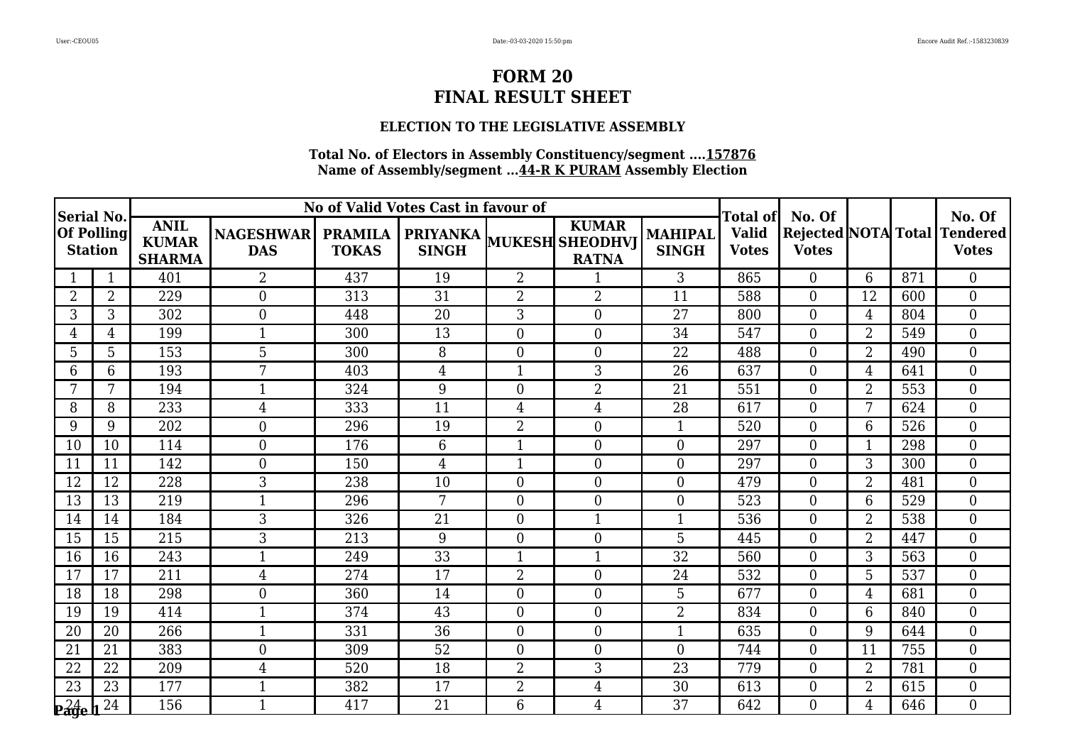### **ELECTION TO THE LEGISLATIVE ASSEMBLY**

| Serial No.        |                |                                              |                                |                                | No of Valid Votes Cast in favour of |                  |                                                                 |                         | Total of                     | No. Of         |                |     | No. Of                                       |
|-------------------|----------------|----------------------------------------------|--------------------------------|--------------------------------|-------------------------------------|------------------|-----------------------------------------------------------------|-------------------------|------------------------------|----------------|----------------|-----|----------------------------------------------|
| <b>Of Polling</b> | <b>Station</b> | <b>ANIL</b><br><b>KUMAR</b><br><b>SHARMA</b> | <b>NAGESHWAR</b><br><b>DAS</b> | <b>PRAMILA</b><br><b>TOKAS</b> | <b>SINGH</b>                        |                  | <b>KUMAR</b><br><b>PRIYANKA</b> MUKESH SHEODHVJ<br><b>RATNA</b> | MAHIPAL<br><b>SINGH</b> | <b>Valid</b><br><b>Votes</b> | <b>Votes</b>   |                |     | Rejected NOTA Total Tendered<br><b>Votes</b> |
|                   | $\mathbf{1}$   | 401                                          | $\overline{2}$                 | 437                            | 19                                  | $\overline{2}$   |                                                                 | 3                       | 865                          | $\Omega$       | 6              | 871 | $\mathbf{0}$                                 |
| $\overline{2}$    | 2              | 229                                          | $\overline{0}$                 | 313                            | 31                                  | $\overline{2}$   | $\overline{2}$                                                  | 11                      | 588                          | $\Omega$       | 12             | 600 | $\mathbf{0}$                                 |
| 3                 | 3              | 302                                          | $\boldsymbol{0}$               | 448                            | 20                                  | 3                | $\boldsymbol{0}$                                                | 27                      | 800                          | $\overline{0}$ | 4              | 804 | $\mathbf{0}$                                 |
| 4                 | 4              | 199                                          | 1                              | 300                            | 13                                  | $\boldsymbol{0}$ | $\boldsymbol{0}$                                                | 34                      | 547                          | $\Omega$       | $\overline{2}$ | 549 | $\theta$                                     |
| 5                 | 5              | 153                                          | 5                              | 300                            | 8                                   | $\overline{0}$   | $\boldsymbol{0}$                                                | 22                      | 488                          | $\overline{0}$ | $\overline{2}$ | 490 | $\overline{0}$                               |
| 6                 | 6              | 193                                          | 7                              | 403                            | 4                                   | $\mathbf{1}$     | 3                                                               | 26                      | 637                          | $\overline{0}$ | 4              | 641 | $\overline{0}$                               |
| 7                 | 7              | 194                                          | $\mathbf{1}$                   | 324                            | 9                                   | $\boldsymbol{0}$ | $\overline{2}$                                                  | 21                      | 551                          | $\theta$       | $\overline{2}$ | 553 | $\mathbf{0}$                                 |
| 8                 | 8              | 233                                          | $\overline{4}$                 | 333                            | 11                                  | $\overline{4}$   | $\overline{4}$                                                  | 28                      | 617                          | $\overline{0}$ | 7              | 624 | $\mathbf{0}$                                 |
| 9                 | 9              | 202                                          | $\overline{0}$                 | 296                            | 19                                  | $\overline{2}$   | $\overline{0}$                                                  | $\mathbf{1}$            | 520                          | $\overline{0}$ | 6              | 526 | $\mathbf{0}$                                 |
| 10                | 10             | 114                                          | $\boldsymbol{0}$               | 176                            | 6                                   | $\mathbf{1}$     | $\boldsymbol{0}$                                                | $\Omega$                | 297                          | $\Omega$       | 1              | 298 | $\mathbf{0}$                                 |
| 11                | 11             | 142                                          | $\boldsymbol{0}$               | 150                            | $\overline{4}$                      | $\mathbf{1}$     | $\boldsymbol{0}$                                                | $\overline{0}$          | 297                          | $\theta$       | 3              | 300 | $\mathbf{0}$                                 |
| 12                | 12             | 228                                          | 3                              | 238                            | 10                                  | $\boldsymbol{0}$ | $\boldsymbol{0}$                                                | $\overline{0}$          | 479                          | $\overline{0}$ | $\overline{2}$ | 481 | $\mathbf{0}$                                 |
| 13                | 13             | 219                                          | 1                              | 296                            | 7                                   | $\overline{0}$   | $\boldsymbol{0}$                                                | $\overline{0}$          | 523                          | $\theta$       | 6              | 529 | $\overline{0}$                               |
| 14                | 14             | 184                                          | 3                              | 326                            | 21                                  | $\overline{0}$   | $\mathbf{1}$                                                    | 1                       | 536                          | $\overline{0}$ | $\overline{2}$ | 538 | $\overline{0}$                               |
| 15                | 15             | 215                                          | 3                              | 213                            | 9                                   | $\overline{0}$   | $\boldsymbol{0}$                                                | 5                       | 445                          | $\overline{0}$ | $\overline{2}$ | 447 | $\overline{0}$                               |
| 16                | 16             | 243                                          |                                | 249                            | 33                                  | $\mathbf{1}$     | $\mathbf{1}$                                                    | 32                      | 560                          | $\Omega$       | 3              | 563 | $\overline{0}$                               |
| 17                | 17             | 211                                          | $\overline{4}$                 | 274                            | 17                                  | $\overline{2}$   | $\boldsymbol{0}$                                                | 24                      | 532                          | $\Omega$       | 5              | 537 | $\overline{0}$                               |
| 18                | 18             | 298                                          | $\overline{0}$                 | 360                            | 14                                  | $\overline{0}$   | $\overline{0}$                                                  | 5                       | 677                          | $\Omega$       | 4              | 681 | $\theta$                                     |
| 19                | 19             | 414                                          | $\mathbf 1$                    | 374                            | 43                                  | $\overline{0}$   | $\boldsymbol{0}$                                                | $\overline{2}$          | 834                          | $\Omega$       | 6              | 840 | $\mathbf{0}$                                 |
| 20                | 20             | 266                                          | 1                              | 331                            | 36                                  | $\boldsymbol{0}$ | $\boldsymbol{0}$                                                | 1                       | 635                          | $\overline{0}$ | 9              | 644 | $\overline{0}$                               |
| 21                | 21             | 383                                          | $\overline{0}$                 | 309                            | 52                                  | $\boldsymbol{0}$ | $\boldsymbol{0}$                                                | $\Omega$                | 744                          | $\theta$       | 11             | 755 | $\mathbf{0}$                                 |
| 22                | 22             | 209                                          | $\overline{4}$                 | 520                            | 18                                  | $\overline{2}$   | 3                                                               | 23                      | 779                          | $\overline{0}$ | $\overline{2}$ | 781 | $\boldsymbol{0}$                             |
| $\overline{23}$   | 23             | 177                                          | $\mathbf{1}$                   | 382                            | 17                                  | $\overline{2}$   | $\overline{4}$                                                  | 30                      | 613                          | $\overline{0}$ | $\overline{2}$ | 615 | $\overline{0}$                               |
| $24$ e            | 24             | 156                                          | $\mathbf{1}$                   | 417                            | 21                                  | 6                | $\overline{4}$                                                  | 37                      | 642                          | $\Omega$       | 4              | 646 | $\Omega$                                     |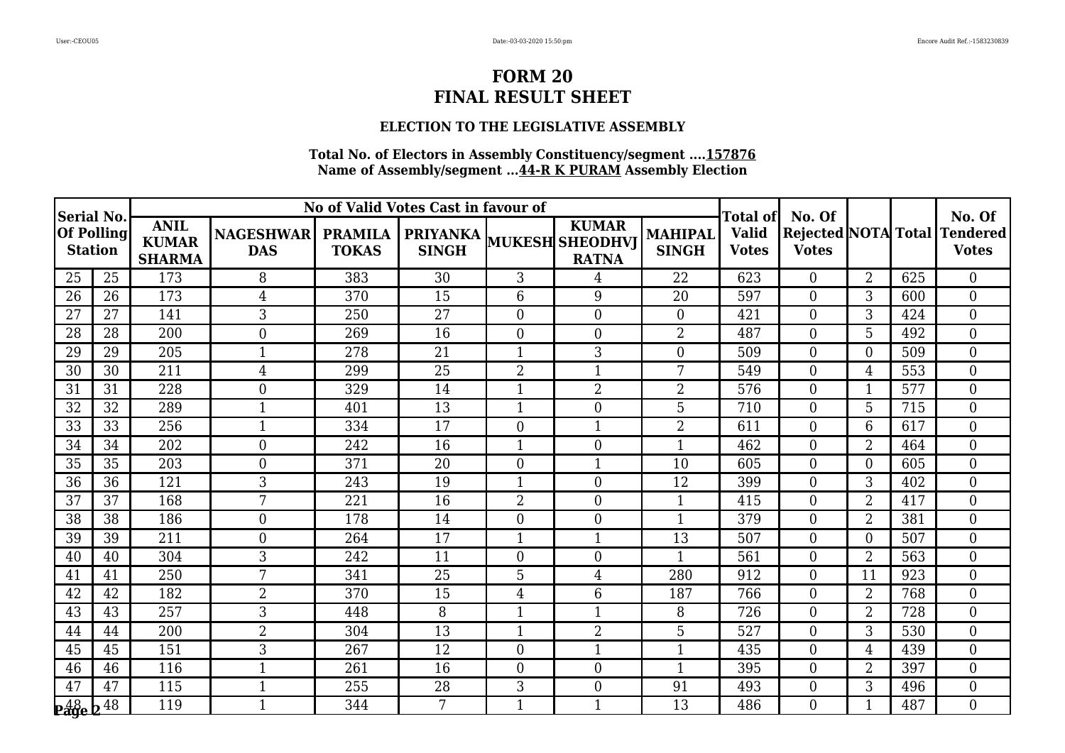### **ELECTION TO THE LEGISLATIVE ASSEMBLY**

| Serial No.                         |                                     |                                              |                                |                                | No of Valid Votes Cast in favour of             |                  |                              |                         | Total of                     | No. Of         |                |     | No. Of                                       |
|------------------------------------|-------------------------------------|----------------------------------------------|--------------------------------|--------------------------------|-------------------------------------------------|------------------|------------------------------|-------------------------|------------------------------|----------------|----------------|-----|----------------------------------------------|
|                                    | <b>Of Polling</b><br><b>Station</b> | <b>ANIL</b><br><b>KUMAR</b><br><b>SHARMA</b> | <b>NAGESHWAR</b><br><b>DAS</b> | <b>PRAMILA</b><br><b>TOKAS</b> | <b>PRIYANKA</b> MUKESH SHEODHVJ<br><b>SINGH</b> |                  | <b>KUMAR</b><br><b>RATNA</b> | MAHIPAL<br><b>SINGH</b> | <b>Valid</b><br><b>Votes</b> | <b>Votes</b>   |                |     | Rejected NOTA Total Tendered<br><b>Votes</b> |
| 25                                 | 25                                  | 173                                          | 8                              | 383                            | 30                                              | 3                | $\overline{4}$               | 22                      | 623                          | $\Omega$       | $\overline{2}$ | 625 | $\mathbf{0}$                                 |
| 26                                 | 26                                  | 173                                          | $\overline{4}$                 | 370                            | 15                                              | 6                | 9                            | 20                      | 597                          | $\theta$       | 3              | 600 | $\mathbf{0}$                                 |
| 27                                 | 27                                  | 141                                          | 3                              | 250                            | 27                                              | $\overline{0}$   | $\boldsymbol{0}$             | $\overline{0}$          | 421                          | $\overline{0}$ | 3              | 424 | $\overline{0}$                               |
| 28                                 | 28                                  | 200                                          | $\overline{0}$                 | 269                            | 16                                              | $\boldsymbol{0}$ | $\boldsymbol{0}$             | $\overline{2}$          | 487                          | $\Omega$       | 5              | 492 | $\theta$                                     |
| 29                                 | 29                                  | 205                                          | 1                              | 278                            | 21                                              | $\mathbf 1$      | 3                            | $\overline{0}$          | 509                          | $\overline{0}$ | $\Omega$       | 509 | $\overline{0}$                               |
| 30                                 | 30                                  | 211                                          | $\overline{4}$                 | 299                            | 25                                              | $\overline{2}$   | $\mathbf{1}$                 | 7                       | 549                          | $\overline{0}$ | 4              | 553 | $\overline{0}$                               |
| 31                                 | 31                                  | 228                                          | $\boldsymbol{0}$               | 329                            | 14                                              | $\mathbf{1}$     | $\overline{2}$               | 2                       | 576                          | $\theta$       |                | 577 | $\mathbf{0}$                                 |
| 32                                 | 32                                  | 289                                          |                                | 401                            | 13                                              | 1                | $\overline{0}$               | 5                       | 710                          | $\overline{0}$ | 5              | 715 | $\overline{0}$                               |
| $\overline{33}$                    | $\overline{33}$                     | 256                                          | $\mathbf{1}$                   | 334                            | $\overline{17}$                                 | $\overline{0}$   | $\mathbf{1}$                 | 2                       | 611                          | $\overline{0}$ | 6              | 617 | $\overline{0}$                               |
| 34                                 | 34                                  | 202                                          | $\boldsymbol{0}$               | 242                            | 16                                              | $\mathbf{1}$     | $\boldsymbol{0}$             | $\mathbf{1}$            | 462                          | $\theta$       | $\overline{2}$ | 464 | $\theta$                                     |
| 35                                 | 35                                  | 203                                          | $\boldsymbol{0}$               | 371                            | 20                                              | $\overline{0}$   | $\mathbf{1}$                 | 10                      | 605                          | $\theta$       | $\Omega$       | 605 | $\mathbf{0}$                                 |
| 36                                 | 36                                  | 121                                          | 3                              | 243                            | 19                                              | 1                | $\boldsymbol{0}$             | 12                      | 399                          | $\overline{0}$ | 3              | 402 | $\mathbf{0}$                                 |
| 37                                 | 37                                  | 168                                          | 7                              | 221                            | 16                                              | $\overline{2}$   | $\boldsymbol{0}$             | $\mathbf{1}$            | 415                          | $\theta$       | $\overline{2}$ | 417 | $\overline{0}$                               |
| 38                                 | 38                                  | 186                                          | $\boldsymbol{0}$               | 178                            | 14                                              | $\overline{0}$   | $\boldsymbol{0}$             | 1                       | 379                          | $\overline{0}$ | $\overline{2}$ | 381 | $\overline{0}$                               |
| 39                                 | 39                                  | 211                                          | $\mathbf{0}$                   | 264                            | 17                                              | $\mathbf{1}$     | $\mathbf{1}$                 | 13                      | 507                          | $\overline{0}$ | $\overline{0}$ | 507 | $\overline{0}$                               |
| 40                                 | 40                                  | 304                                          | 3                              | 242                            | 11                                              | $\overline{0}$   | $\boldsymbol{0}$             | 1                       | 561                          | $\theta$       | $\overline{2}$ | 563 | $\mathbf{0}$                                 |
| 41                                 | 41                                  | 250                                          | 7                              | 341                            | 25                                              | 5                | $\overline{4}$               | 280                     | 912                          | $\theta$       | 11             | 923 | $\overline{0}$                               |
| 42                                 | 42                                  | 182                                          | $\overline{2}$                 | 370                            | $\overline{15}$                                 | 4                | 6                            | 187                     | 766                          | $\theta$       | $\overline{2}$ | 768 | $\theta$                                     |
| 43                                 | 43                                  | 257                                          | 3                              | 448                            | 8                                               | 1                | 1                            | 8                       | 726                          | $\overline{0}$ | $\overline{2}$ | 728 | $\mathbf{0}$                                 |
| 44                                 | 44                                  | 200                                          | $\overline{2}$                 | 304                            | 13                                              | 1                | $\overline{2}$               | 5                       | 527                          | $\overline{0}$ | 3              | 530 | $\overline{0}$                               |
| 45                                 | 45                                  | 151                                          | 3                              | 267                            | 12                                              | $\boldsymbol{0}$ | $\mathbf{1}$                 | $\mathbf{1}$            | 435                          | $\theta$       | $\overline{4}$ | 439 | $\overline{0}$                               |
| 46                                 | 46                                  | 116                                          | 1                              | 261                            | 16                                              | $\overline{0}$   | $\boldsymbol{0}$             | 1                       | 395                          | $\overline{0}$ | $\overline{2}$ | 397 | $\boldsymbol{0}$                             |
| 47                                 | 47                                  | 115                                          | $\mathbf{1}$                   | 255                            | 28                                              | 3                | $\boldsymbol{0}$             | 91                      | 493                          | $\overline{0}$ | 3              | 496 | $\overline{0}$                               |
| $\frac{48}{29}$ e $\frac{148}{29}$ |                                     | 119                                          | 1                              | 344                            | 7                                               | 1                | 1                            | 13                      | 486                          | $\Omega$       |                | 487 | $\Omega$                                     |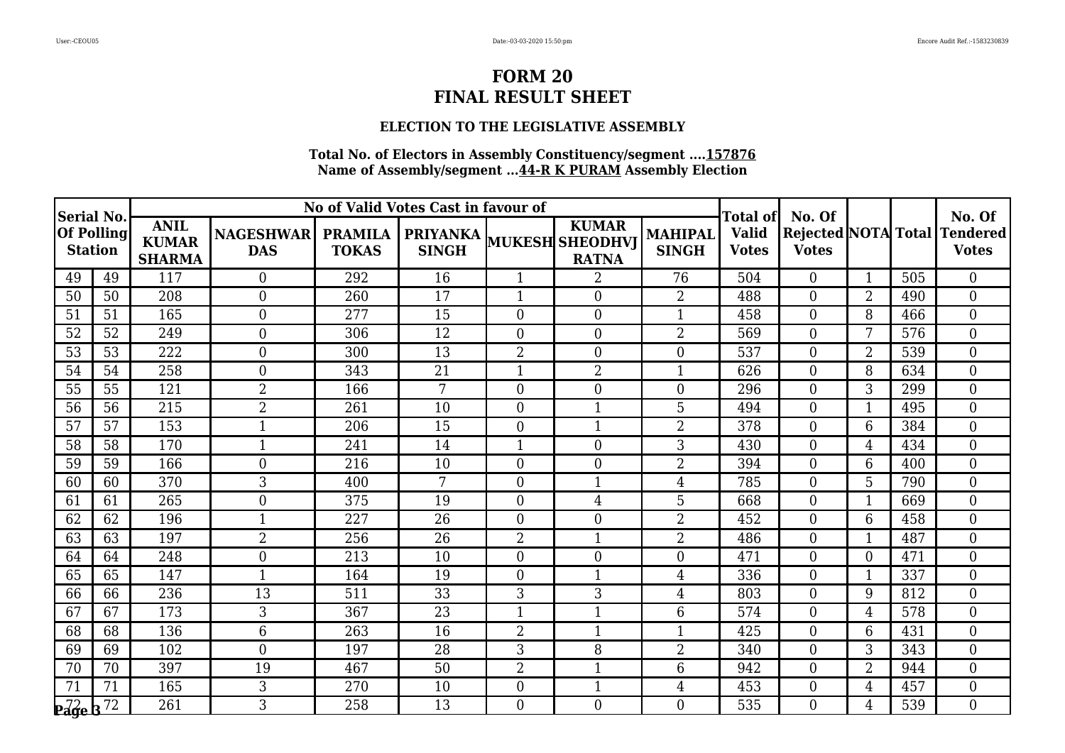### **ELECTION TO THE LEGISLATIVE ASSEMBLY**

|                                |                |                                              |                                |                                | No of Valid Votes Cast in favour of |                  |                                                                 |                           |                                                 | No. Of         |                          |     | No. Of                                       |
|--------------------------------|----------------|----------------------------------------------|--------------------------------|--------------------------------|-------------------------------------|------------------|-----------------------------------------------------------------|---------------------------|-------------------------------------------------|----------------|--------------------------|-----|----------------------------------------------|
| Serial No<br><b>Of Polling</b> | <b>Station</b> | <b>ANIL</b><br><b>KUMAR</b><br><b>SHARMA</b> | <b>NAGESHWAR</b><br><b>DAS</b> | <b>PRAMILA</b><br><b>TOKAS</b> | <b>SINGH</b>                        |                  | <b>KUMAR</b><br><b>PRIYANKA</b> MUKESH SHEODHVJ<br><b>RATNA</b> | MAHIPAL  <br><b>SINGH</b> | <b>Total of</b><br><b>Valid</b><br><b>Votes</b> | <b>Votes</b>   |                          |     | Rejected NOTA Total Tendered<br><b>Votes</b> |
| 49                             | 49             | 117                                          | $\overline{0}$                 | 292                            | 16                                  | 1                | 2                                                               | 76                        | 504                                             | $\theta$       | 1                        | 505 | $\overline{0}$                               |
| 50                             | 50             | 208                                          | $\boldsymbol{0}$               | 260                            | 17                                  | 1                | $\boldsymbol{0}$                                                | $\overline{2}$            | 488                                             | $\overline{0}$ | $\overline{2}$           | 490 | $\overline{0}$                               |
| 51                             | 51             | 165                                          | $\boldsymbol{0}$               | 277                            | 15                                  | $\boldsymbol{0}$ | $\boldsymbol{0}$                                                | $\mathbf{1}$              | 458                                             | $\overline{0}$ | 8                        | 466 | $\overline{0}$                               |
| 52                             | 52             | 249                                          | $\boldsymbol{0}$               | 306                            | 12                                  | $\boldsymbol{0}$ | $\boldsymbol{0}$                                                | 2                         | 569                                             | $\theta$       | 7                        | 576 | $\mathbf{0}$                                 |
| 53                             | 53             | 222                                          | $\boldsymbol{0}$               | 300                            | 13                                  | $\overline{2}$   | $\boldsymbol{0}$                                                | $\theta$                  | 537                                             | $\overline{0}$ | $\overline{2}$           | 539 | $\overline{0}$                               |
| 54                             | 54             | 258                                          | $\boldsymbol{0}$               | 343                            | 21                                  | $\mathbf{1}$     | $\overline{2}$                                                  | $\mathbf{1}$              | 626                                             | $\overline{0}$ | 8                        | 634 | $\overline{0}$                               |
| 55                             | 55             | 121                                          | $\overline{2}$                 | 166                            | 7                                   | $\boldsymbol{0}$ | $\boldsymbol{0}$                                                | $\overline{0}$            | 296                                             | $\theta$       | 3                        | 299 | $\theta$                                     |
| 56                             | 56             | 215                                          | $\overline{2}$                 | 261                            | 10                                  | $\boldsymbol{0}$ | $\mathbf{1}$                                                    | 5                         | 494                                             | $\overline{0}$ |                          | 495 | $\overline{0}$                               |
| 57                             | 57             | 153                                          | 1                              | 206                            | 15                                  | $\boldsymbol{0}$ | $\mathbf{1}$                                                    | 2                         | 378                                             | $\overline{0}$ | 6                        | 384 | $\mathbf{0}$                                 |
| 58                             | 58             | 170                                          | $\mathbf 1$                    | 241                            | 14                                  | $\mathbf{1}$     | $\boldsymbol{0}$                                                | 3                         | 430                                             | $\theta$       | $\overline{4}$           | 434 | $\mathbf{0}$                                 |
| 59                             | 59             | 166                                          | $\mathbf{0}$                   | 216                            | 10                                  | $\overline{0}$   | $\boldsymbol{0}$                                                | 2                         | 394                                             | $\Omega$       | 6                        | 400 | $\mathbf{0}$                                 |
| 60                             | 60             | 370                                          | 3                              | 400                            | 7                                   | $\boldsymbol{0}$ | $\mathbf{1}$                                                    | $\overline{4}$            | 785                                             | $\overline{0}$ | 5                        | 790 | $\mathbf{0}$                                 |
| 61                             | 61             | 265                                          | $\boldsymbol{0}$               | 375                            | 19                                  | $\boldsymbol{0}$ | $\overline{4}$                                                  | 5                         | 668                                             | $\overline{0}$ | 1                        | 669 | $\overline{0}$                               |
| 62                             | 62             | 196                                          | $\mathbf{1}$                   | 227                            | 26                                  | $\overline{0}$   | $\boldsymbol{0}$                                                | 2                         | 452                                             | $\overline{0}$ | 6                        | 458 | $\boldsymbol{0}$                             |
| 63                             | 63             | 197                                          | $\overline{2}$                 | 256                            | 26                                  | $\overline{2}$   | $\mathbf{1}$                                                    | $\overline{2}$            | 486                                             | $\overline{0}$ | $\overline{\phantom{a}}$ | 487 | $\overline{0}$                               |
| 64                             | 64             | 248                                          | $\boldsymbol{0}$               | 213                            | 10                                  | $\boldsymbol{0}$ | $\boldsymbol{0}$                                                | $\overline{0}$            | 471                                             | $\overline{0}$ | $\theta$                 | 471 | $\boldsymbol{0}$                             |
| 65                             | 65             | 147                                          | $\mathbf{1}$                   | 164                            | 19                                  | $\boldsymbol{0}$ | $\mathbf{1}$                                                    | 4                         | 336                                             | $\overline{0}$ |                          | 337 | $\mathbf{0}$                                 |
| 66                             | 66             | 236                                          | $\overline{13}$                | 511                            | $\overline{33}$                     | 3                | 3                                                               | $\overline{4}$            | 803                                             | $\Omega$       | 9                        | 812 | $\theta$                                     |
| 67                             | 67             | 173                                          | 3                              | 367                            | 23                                  | 1                | $\mathbf 1$                                                     | 6                         | 574                                             | $\overline{0}$ | 4                        | 578 | $\overline{0}$                               |
| 68                             | 68             | 136                                          | 6                              | 263                            | 16                                  | $\overline{2}$   | $\mathbf{1}$                                                    | 1                         | 425                                             | $\overline{0}$ | 6                        | 431 | $\mathbf{0}$                                 |
| 69                             | 69             | 102                                          | $\overline{0}$                 | 197                            | 28                                  | 3                | 8                                                               | $\overline{2}$            | 340                                             | $\Omega$       | 3                        | 343 | $\theta$                                     |
| 70                             | 70             | 397                                          | 19                             | 467                            | 50                                  | $\overline{2}$   | $\mathbf{1}$                                                    | 6                         | 942                                             | $\Omega$       | $\overline{2}$           | 944 | $\mathbf{0}$                                 |
| 71                             | 71             | 165                                          | 3                              | 270                            | 10                                  | $\overline{0}$   | $\mathbf{1}$                                                    | $\overline{4}$            | 453                                             | $\overline{0}$ | 4                        | 457 | $\overline{0}$                               |
| $\frac{1}{2}$ $\frac{1}{2}$    |                | 261                                          | 3                              | 258                            | 13                                  | $\Omega$         | $\theta$                                                        | $\Omega$                  | 535                                             | $\Omega$       | 4                        | 539 | $\Omega$                                     |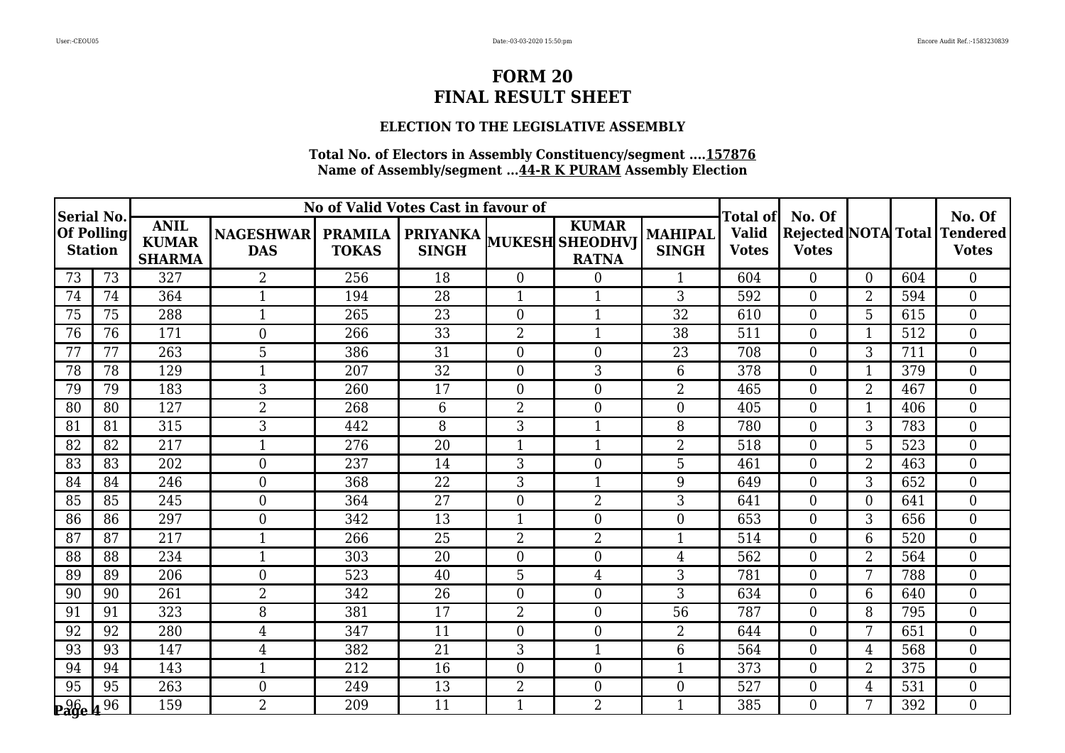### **ELECTION TO THE LEGISLATIVE ASSEMBLY**

|                                    |                |                                              |                                |                                | No of Valid Votes Cast in favour of |                  |                                                                 |                         | Total ofl                    | No. Of         |                |     | No. Of                                              |
|------------------------------------|----------------|----------------------------------------------|--------------------------------|--------------------------------|-------------------------------------|------------------|-----------------------------------------------------------------|-------------------------|------------------------------|----------------|----------------|-----|-----------------------------------------------------|
| Serial No.<br><b>Of Polling</b>    | <b>Station</b> | <b>ANIL</b><br><b>KUMAR</b><br><b>SHARMA</b> | <b>NAGESHWAR</b><br><b>DAS</b> | <b>PRAMILA</b><br><b>TOKAS</b> | <b>SINGH</b>                        |                  | <b>KUMAR</b><br><b>PRIYANKA</b> MUKESH SHEODHVJ<br><b>RATNA</b> | MAHIPAL<br><b>SINGH</b> | <b>Valid</b><br><b>Votes</b> | <b>Votes</b>   |                |     | <b>Rejected NOTA Total Tendered</b><br><b>Votes</b> |
| 73                                 | 73             | 327                                          | 2                              | 256                            | 18                                  | $\overline{0}$   | $\boldsymbol{0}$                                                |                         | 604                          | $\Omega$       | $\Omega$       | 604 | $\overline{0}$                                      |
| 74                                 | 74             | 364                                          | $\mathbf{1}$                   | 194                            | 28                                  | $\mathbf{1}$     | $\mathbf{1}$                                                    | 3                       | 592                          | $\overline{0}$ | $\overline{2}$ | 594 | $\overline{0}$                                      |
| 75                                 | 75             | 288                                          | 1                              | 265                            | 23                                  | $\boldsymbol{0}$ | $\mathbf{1}$                                                    | 32                      | 610                          | $\Omega$       | 5              | 615 | $\mathbf{0}$                                        |
| 76                                 | 76             | 171                                          | $\boldsymbol{0}$               | 266                            | $\overline{33}$                     | $\overline{2}$   | $\mathbf{1}$                                                    | $\overline{38}$         | 511                          | $\Omega$       | 1              | 512 | $\mathbf{0}$                                        |
| 77                                 | 77             | 263                                          | 5                              | 386                            | 31                                  | $\boldsymbol{0}$ | $\mathbf{0}$                                                    | 23                      | 708                          | $\overline{0}$ | 3              | 711 | $\overline{0}$                                      |
| 78                                 | 78             | 129                                          | 1                              | 207                            | 32                                  | $\boldsymbol{0}$ | 3                                                               | 6                       | 378                          | $\overline{0}$ | $\mathbf 1$    | 379 | $\mathbf{0}$                                        |
| 79                                 | 79             | 183                                          | 3                              | 260                            | 17                                  | $\boldsymbol{0}$ | $\mathbf{0}$                                                    | $\overline{2}$          | 465                          | $\overline{0}$ | $\overline{2}$ | 467 | $\mathbf{0}$                                        |
| 80                                 | 80             | 127                                          | 2                              | 268                            | $6\phantom{.}6$                     | $\overline{2}$   | $\boldsymbol{0}$                                                | $\overline{0}$          | 405                          | $\overline{0}$ |                | 406 | $\overline{0}$                                      |
| 81                                 | 81             | 315                                          | 3                              | 442                            | 8                                   | 3                | $\mathbf{1}$                                                    | 8                       | 780                          | $\Omega$       | 3              | 783 | $\mathbf{0}$                                        |
| 82                                 | 82             | $\overline{217}$                             | $\mathbf{1}$                   | $\overline{276}$               | $\overline{20}$                     | $\mathbf{1}$     | $\mathbf{1}$                                                    | $\overline{2}$          | 518                          | $\overline{0}$ | 5              | 523 | $\theta$                                            |
| 83                                 | 83             | 202                                          | $\boldsymbol{0}$               | 237                            | 14                                  | 3                | $\boldsymbol{0}$                                                | 5                       | 461                          | $\overline{0}$ | $\overline{2}$ | 463 | $\overline{0}$                                      |
| 84                                 | 84             | 246                                          | $\overline{0}$                 | 368                            | 22                                  | 3                | $\mathbf{1}$                                                    | 9                       | 649                          | $\overline{0}$ | 3              | 652 | $\mathbf{0}$                                        |
| 85                                 | 85             | 245                                          | $\boldsymbol{0}$               | 364                            | $\overline{27}$                     | $\mathbf{0}$     | $\overline{2}$                                                  | 3                       | 641                          | $\overline{0}$ | $\Omega$       | 641 | $\theta$                                            |
| 86                                 | 86             | 297                                          | $\boldsymbol{0}$               | 342                            | 13                                  | 1                | $\boldsymbol{0}$                                                | $\Omega$                | 653                          | $\overline{0}$ | 3              | 656 | $\overline{0}$                                      |
| 87                                 | 87             | 217                                          | $\mathbf{1}$                   | 266                            | 25                                  | $\overline{2}$   | $\overline{2}$                                                  | $\mathbf{1}$            | 514                          | $\overline{0}$ | 6              | 520 | $\overline{0}$                                      |
| 88                                 | 88             | 234                                          | $\mathbf{1}$                   | 303                            | 20                                  | $\overline{0}$   | $\overline{0}$                                                  | $\overline{4}$          | 562                          | $\overline{0}$ | $\overline{2}$ | 564 | $\Omega$                                            |
| 89                                 | 89             | 206                                          | $\boldsymbol{0}$               | 523                            | 40                                  | 5                | $\overline{4}$                                                  | 3                       | 781                          | $\overline{0}$ | 7              | 788 | $\overline{0}$                                      |
| 90                                 | 90             | 261                                          | 2                              | 342                            | 26                                  | $\boldsymbol{0}$ | $\boldsymbol{0}$                                                | 3                       | 634                          | $\overline{0}$ | 6              | 640 | $\overline{0}$                                      |
| 91                                 | 91             | 323                                          | 8                              | 381                            | 17                                  | $\overline{2}$   | $\overline{0}$                                                  | 56                      | 787                          | $\overline{0}$ | 8              | 795 | $\mathbf{0}$                                        |
| 92                                 | 92             | 280                                          | 4                              | 347                            | 11                                  | $\boldsymbol{0}$ | $\mathbf{0}$                                                    | $\overline{2}$          | 644                          | $\overline{0}$ | 7              | 651 | $\overline{0}$                                      |
| 93                                 | 93             | 147                                          | 4                              | 382                            | 21                                  | 3                | $\mathbf{1}$                                                    | 6                       | 564                          | $\overline{0}$ | 4              | 568 | $\overline{0}$                                      |
| 94                                 | 94             | 143                                          | $\mathbf{1}$                   | 212                            | 16                                  | $\boldsymbol{0}$ | $\boldsymbol{0}$                                                | $\mathbf{1}$            | 373                          | $\overline{0}$ | $\overline{2}$ | 375 | $\mathbf{0}$                                        |
| 95                                 | 95             | 263                                          | $\boldsymbol{0}$               | 249                            | 13                                  | $\overline{2}$   | $\mathbf{0}$                                                    | $\Omega$                | 527                          | $\overline{0}$ | 4              | 531 | $\overline{0}$                                      |
| $\frac{96}{296}$ 4 $\frac{96}{26}$ |                | 159                                          | $\overline{2}$                 | 209                            | 11                                  | $\mathbf{1}$     | $\overline{2}$                                                  |                         | 385                          | $\overline{0}$ | 7              | 392 | $\overline{0}$                                      |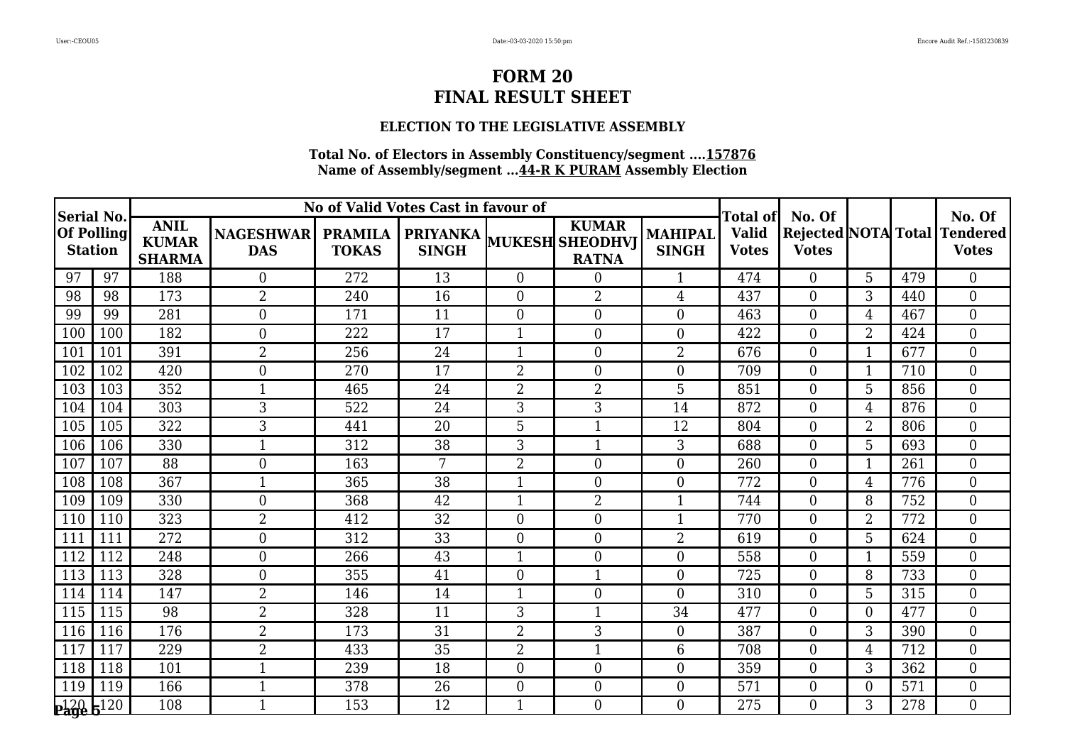### **ELECTION TO THE LEGISLATIVE ASSEMBLY**

|                                                  |     |                                              |                                |                                | No of Valid Votes Cast in favour of |                  |                                                          |                         | <b>Total of</b>              | No. Of           |                |     | No. Of                                       |
|--------------------------------------------------|-----|----------------------------------------------|--------------------------------|--------------------------------|-------------------------------------|------------------|----------------------------------------------------------|-------------------------|------------------------------|------------------|----------------|-----|----------------------------------------------|
| Serial No<br><b>Of Polling</b><br><b>Station</b> |     | <b>ANIL</b><br><b>KUMAR</b><br><b>SHARMA</b> | <b>NAGESHWAR</b><br><b>DAS</b> | <b>PRAMILA</b><br><b>TOKAS</b> | <b>SINGH</b>                        |                  | <b>KUMAR</b><br>PRIYANKA MUKESH SHEODHVJ<br><b>RATNA</b> | MAHIPAL<br><b>SINGH</b> | <b>Valid</b><br><b>Votes</b> | <b>Votes</b>     |                |     | Rejected NOTA Total Tendered<br><b>Votes</b> |
| 97                                               | 97  | 188                                          | $\overline{0}$                 | 272                            | 13                                  | $\overline{0}$   | $\boldsymbol{0}$                                         | 1                       | 474                          | $\theta$         | 5              | 479 | $\overline{0}$                               |
| 98                                               | 98  | 173                                          | $\overline{2}$                 | 240                            | 16                                  | $\overline{0}$   | $\overline{2}$                                           | 4                       | 437                          | $\overline{0}$   | 3              | 440 | $\overline{0}$                               |
| 99                                               | 99  | 281                                          | $\boldsymbol{0}$               | 171                            | 11                                  | $\boldsymbol{0}$ | $\boldsymbol{0}$                                         | 0                       | 463                          | $\overline{0}$   | 4              | 467 | $\overline{0}$                               |
| 100                                              | 100 | 182                                          | $\boldsymbol{0}$               | 222                            | 17                                  | $\mathbf{1}$     | $\boldsymbol{0}$                                         | $\Omega$                | 422                          | $\Omega$         | $\overline{2}$ | 424 | $\mathbf{0}$                                 |
| 101                                              | 101 | 391                                          | $\overline{2}$                 | 256                            | 24                                  | 1                | $\boldsymbol{0}$                                         | $\overline{2}$          | 676                          | $\overline{0}$   |                | 677 | $\overline{0}$                               |
| 102                                              | 102 | 420                                          | $\boldsymbol{0}$               | 270                            | 17                                  | 2                | $\boldsymbol{0}$                                         | $\overline{0}$          | 709                          | $\overline{0}$   | 1              | 710 | $\overline{0}$                               |
| 103                                              | 103 | 352                                          | $\mathbf{1}$                   | 465                            | 24                                  | $\overline{2}$   | $\overline{2}$                                           | 5                       | 851                          | $\Omega$         | 5              | 856 | $\theta$                                     |
| 104                                              | 104 | 303                                          | 3                              | 522                            | 24                                  | 3                | 3                                                        | 14                      | 872                          | $\overline{0}$   | 4              | 876 | $\overline{0}$                               |
| 105                                              | 105 | 322                                          | 3                              | 441                            | 20                                  | 5                | $\mathbf{1}$                                             | 12                      | 804                          | $\overline{0}$   | $\overline{2}$ | 806 | $\mathbf{0}$                                 |
| 106                                              | 106 | 330                                          |                                | 312                            | 38                                  | 3                | $\mathbf{1}$                                             | 3                       | 688                          | $\theta$         | 5              | 693 | $\mathbf{0}$                                 |
| 107                                              | 107 | 88                                           | $\boldsymbol{0}$               | 163                            | 7                                   | $\overline{2}$   | $\boldsymbol{0}$                                         | $\Omega$                | 260                          | $\overline{0}$   |                | 261 | $\mathbf{0}$                                 |
| 108                                              | 108 | 367                                          |                                | 365                            | 38                                  | 1                | $\boldsymbol{0}$                                         | $\overline{0}$          | 772                          | $\boldsymbol{0}$ | 4              | 776 | $\mathbf{0}$                                 |
| 109                                              | 109 | 330                                          | $\boldsymbol{0}$               | 368                            | 42                                  | $\mathbf{1}$     | $\overline{2}$                                           | $\mathbf{1}$            | 744                          | $\overline{0}$   | 8              | 752 | $\boldsymbol{0}$                             |
| 110                                              | 110 | 323                                          | $\overline{2}$                 | 412                            | 32                                  | $\overline{0}$   | $\boldsymbol{0}$                                         | $\mathbf{1}$            | 770                          | $\overline{0}$   | $\overline{2}$ | 772 | $\boldsymbol{0}$                             |
| 111                                              | 111 | 272                                          | $\boldsymbol{0}$               | 312                            | 33                                  | $\boldsymbol{0}$ | $\overline{0}$                                           | $\overline{2}$          | 619                          | $\Omega$         | 5              | 624 | $\overline{0}$                               |
| 112                                              | 112 | 248                                          | $\boldsymbol{0}$               | 266                            | 43                                  | 1                | $\boldsymbol{0}$                                         | $\overline{0}$          | 558                          | $\overline{0}$   |                | 559 | $\boldsymbol{0}$                             |
| 113                                              | 113 | 328                                          | $\boldsymbol{0}$               | 355                            | 41                                  | $\boldsymbol{0}$ | $\mathbf{1}$                                             | $\theta$                | 725                          | $\overline{0}$   | 8              | 733 | $\boldsymbol{0}$                             |
| 114                                              | 114 | 147                                          | $\overline{2}$                 | 146                            | 14                                  | 1                | $\overline{0}$                                           | $\Omega$                | 310                          | $\Omega$         | 5              | 315 | $\theta$                                     |
| 115                                              | 115 | 98                                           | $\overline{2}$                 | 328                            | 11                                  | 3                | 1                                                        | 34                      | 477                          | $\overline{0}$   | $\Omega$       | 477 | $\overline{0}$                               |
| 116                                              | 116 | 176                                          | $\overline{2}$                 | 173                            | 31                                  | $\overline{2}$   | 3                                                        | $\overline{0}$          | 387                          | $\overline{0}$   | 3              | 390 | $\mathbf{0}$                                 |
| 117                                              | 117 | 229                                          | $\overline{2}$                 | 433                            | 35                                  | $\overline{2}$   | $\mathbf{1}$                                             | 6                       | 708                          | $\Omega$         | $\overline{4}$ | 712 | $\theta$                                     |
| 118                                              | 118 | 101                                          |                                | 239                            | 18                                  | $\mathbf{0}$     | $\boldsymbol{0}$                                         | $\overline{0}$          | 359                          | $\Omega$         | 3              | 362 | $\mathbf{0}$                                 |
| 119                                              | 119 | 166                                          | $\mathbf 1$                    | 378                            | 26                                  | $\overline{0}$   | $\boldsymbol{0}$                                         | $\overline{0}$          | 571                          | $\overline{0}$   | $\overline{0}$ | 571 | $\overline{0}$                               |
| $20$ $5^{120}$                                   |     | 108                                          |                                | 153                            | 12                                  | $\mathbf{1}$     | $\theta$                                                 | 0                       | 275                          | $\Omega$         | 3              | 278 | $\Omega$                                     |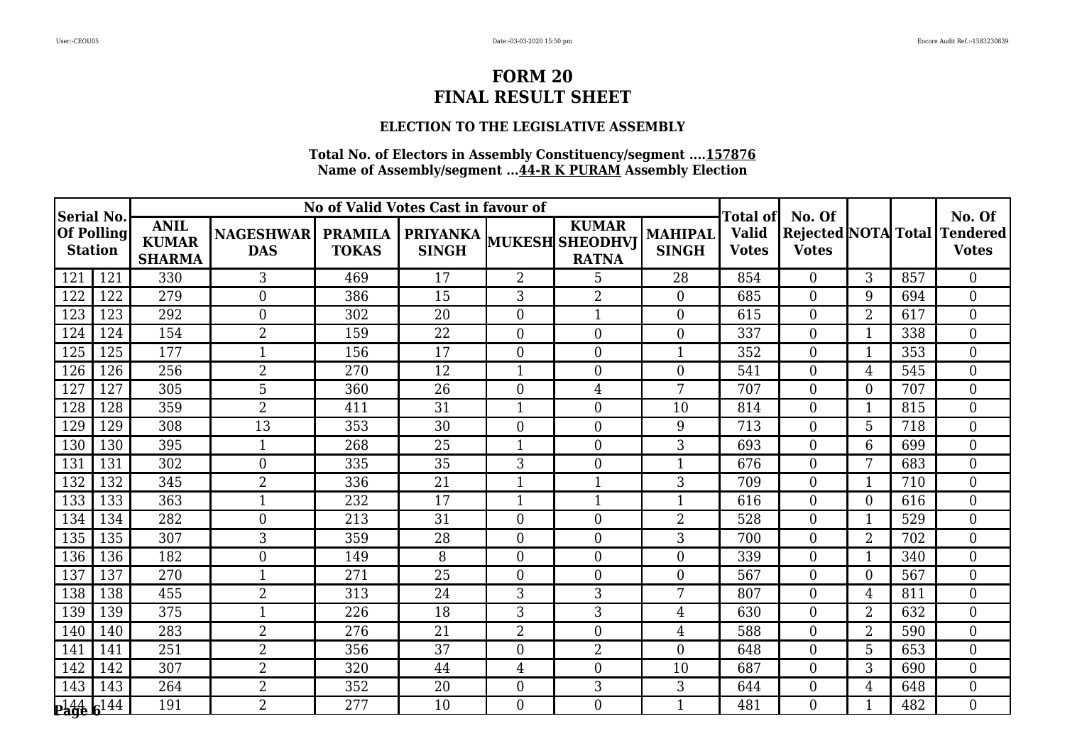### **ELECTION TO THE LEGISLATIVE ASSEMBLY**

| <b>Serial No.</b>               |      |                                              |                                |                                | No of Valid Votes Cast in favour of      |                  |                              |                         | Total of                     | No. Of           |                |     | No. Of                                       |
|---------------------------------|------|----------------------------------------------|--------------------------------|--------------------------------|------------------------------------------|------------------|------------------------------|-------------------------|------------------------------|------------------|----------------|-----|----------------------------------------------|
| $ Of$ Polling<br><b>Station</b> |      | <b>ANIL</b><br><b>KUMAR</b><br><b>SHARMA</b> | <b>NAGESHWAR</b><br><b>DAS</b> | <b>PRAMILA</b><br><b>TOKAS</b> | PRIYANKA MUKESH SHEODHVJ<br><b>SINGH</b> |                  | <b>KUMAR</b><br><b>RATNA</b> | MAHIPAL<br><b>SINGH</b> | <b>Valid</b><br><b>Votes</b> | <b>Votes</b>     |                |     | Rejected NOTA Total Tendered<br><b>Votes</b> |
| 121                             | 121  | 330                                          | $\mathfrak{Z}$                 | 469                            | 17                                       | $\overline{2}$   | 5                            | 28                      | 854                          | $\Omega$         | 3              | 857 | $\theta$                                     |
| 122                             | 122  | 279                                          | $\boldsymbol{0}$               | 386                            | 15                                       | 3                | $\overline{2}$               | $\overline{0}$          | 685                          | $\overline{0}$   | 9              | 694 | $\overline{0}$                               |
| 123                             | 123  | 292                                          | $\boldsymbol{0}$               | 302                            | 20                                       | $\boldsymbol{0}$ | $\mathbf{1}$                 | $\theta$                | 615                          | $\overline{0}$   | $\overline{2}$ | 617 | $\overline{0}$                               |
| 124                             | 124  | 154                                          | $\overline{2}$                 | 159                            | 22                                       | $\boldsymbol{0}$ | $\boldsymbol{0}$             | $\theta$                | 337                          | $\Omega$         |                | 338 | $\theta$                                     |
| 125                             | 125  | 177                                          | $\mathbf{1}$                   | 156                            | 17                                       | $\boldsymbol{0}$ | $\boldsymbol{0}$             | $\mathbf 1$             | 352                          | $\overline{0}$   |                | 353 | $\mathbf{0}$                                 |
| 126                             | 126  | 256                                          | $\overline{2}$                 | 270                            | 12                                       | $\mathbf{1}$     | $\boldsymbol{0}$             | $\theta$                | 541                          | $\overline{0}$   | 4              | 545 | $\mathbf{0}$                                 |
| 127                             | 127  | 305                                          | 5                              | 360                            | 26                                       | $\boldsymbol{0}$ | $\overline{4}$               | 7                       | 707                          | $\Omega$         | $\theta$       | 707 | $\mathbf{0}$                                 |
| 128                             | 128  | 359                                          | $\overline{2}$                 | 411                            | 31                                       | $\mathbf{1}$     | $\overline{0}$               | 10                      | 814                          | $\theta$         | -1             | 815 | $\theta$                                     |
| 129                             | 129  | 308                                          | $\overline{13}$                | 353                            | 30                                       | $\boldsymbol{0}$ | $\boldsymbol{0}$             | 9                       | 713                          | $\overline{0}$   | 5              | 718 | $\overline{0}$                               |
| 130                             | 130  | 395                                          | $\mathbf{1}$                   | 268                            | 25                                       | $\mathbf{1}$     | $\overline{0}$               | 3                       | 693                          | $\Omega$         | 6              | 699 | $\theta$                                     |
| 131                             | 131  | 302                                          | $\boldsymbol{0}$               | 335                            | 35                                       | 3                | $\overline{0}$               | 1                       | 676                          | $\theta$         | 7              | 683 | $\theta$                                     |
| 132                             | 132  | 345                                          | $\overline{2}$                 | 336                            | 21                                       | $\mathbf{1}$     | $\mathbf{1}$                 | 3                       | 709                          | $\overline{0}$   | 1              | 710 | $\overline{0}$                               |
| 133                             | 133  | 363                                          | $\mathbf{1}$                   | 232                            | 17                                       | $\mathbf{1}$     | $\mathbf{1}$                 | 1                       | 616                          | $\overline{0}$   | $\theta$       | 616 | $\overline{0}$                               |
| 134                             | 134  | 282                                          | $\boldsymbol{0}$               | 213                            | 31                                       | $\boldsymbol{0}$ | $\overline{0}$               | $\overline{2}$          | 528                          | $\overline{0}$   |                | 529 | $\overline{0}$                               |
| 135                             | 135  | 307                                          | 3                              | 359                            | 28                                       | $\boldsymbol{0}$ | $\overline{0}$               | 3                       | 700                          | $\Omega$         | $\overline{2}$ | 702 | $\theta$                                     |
| 136                             | 136  | 182                                          | $\boldsymbol{0}$               | 149                            | 8                                        | $\boldsymbol{0}$ | $\boldsymbol{0}$             | $\Omega$                | 339                          | $\overline{0}$   |                | 340 | $\overline{0}$                               |
| 137                             | 137  | 270                                          | $\mathbf{1}$                   | 271                            | 25                                       | $\boldsymbol{0}$ | $\boldsymbol{0}$             | $\Omega$                | 567                          | $\overline{0}$   | $\theta$       | 567 | $\overline{0}$                               |
| 138                             | 138  | 455                                          | $\overline{2}$                 | 313                            | 24                                       | 3                | 3                            | 7                       | 807                          | $\Omega$         | $\overline{4}$ | 811 | $\theta$                                     |
| 139                             | 139  | 375                                          |                                | 226                            | 18                                       | 3                | 3                            | 4                       | 630                          | $\overline{0}$   | $\overline{2}$ | 632 | $\boldsymbol{0}$                             |
| 140                             | 140  | 283                                          | $\overline{2}$                 | 276                            | 21                                       | $\overline{2}$   | $\overline{0}$               | 4                       | 588                          | $\boldsymbol{0}$ | $\overline{2}$ | 590 | $\boldsymbol{0}$                             |
| 141                             | 141  | 251                                          | $\overline{2}$                 | 356                            | 37                                       | $\overline{0}$   | $\overline{2}$               | $\Omega$                | 648                          | $\Omega$         | 5              | 653 | $\mathbf{0}$                                 |
| 142                             | 142  | 307                                          | $\overline{2}$                 | 320                            | 44                                       | 4                | $\overline{0}$               | 10                      | 687                          | $\overline{0}$   | 3              | 690 | $\mathbf{0}$                                 |
| 143                             | 143  | 264                                          | $\overline{2}$                 | 352                            | 20                                       | $\boldsymbol{0}$ | 3                            | 3                       | 644                          | $\overline{0}$   | 4              | 648 | $\overline{0}$                               |
| $\mathbf{p}_\mathbf{agg}^{144}$ | c144 | 191                                          | $\overline{2}$                 | 277                            | 10                                       | $\Omega$         | $\theta$                     | 1                       | 481                          | $\Omega$         |                | 482 | $\Omega$                                     |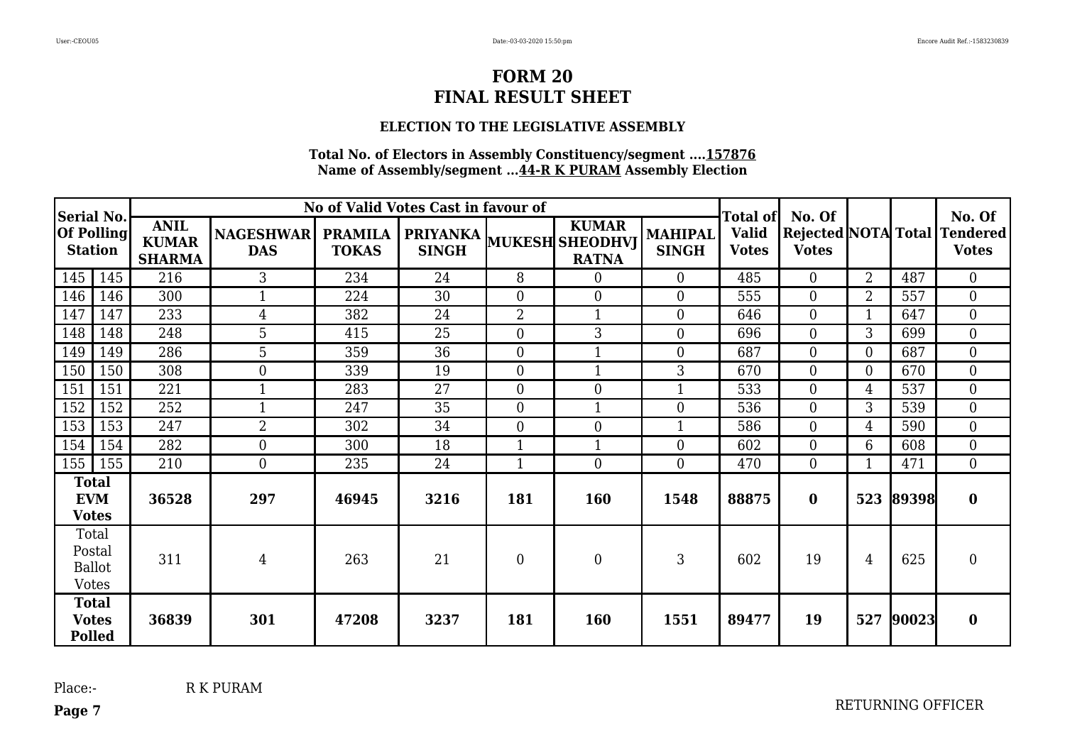### **ELECTION TO THE LEGISLATIVE ASSEMBLY**

#### **Total No. of Electors in Assembly Constituency/segment ....157876 Name of Assembly/segment ...44-R K PURAM Assembly Election**

| <b>Serial No.</b>                                |     |                                              |                                |                                | No of Valid Votes Cast in favour of             |                  |                              |                                | <b>Total of</b>              | No. Of         |                |       | No. Of                                       |
|--------------------------------------------------|-----|----------------------------------------------|--------------------------------|--------------------------------|-------------------------------------------------|------------------|------------------------------|--------------------------------|------------------------------|----------------|----------------|-------|----------------------------------------------|
| <b>Of Polling</b><br><b>Station</b>              |     | <b>ANIL</b><br><b>KUMAR</b><br><b>SHARMA</b> | <b>NAGESHWAR</b><br><b>DAS</b> | <b>PRAMILA</b><br><b>TOKAS</b> | <b>PRIYANKA</b> MUKESH SHEODHVJ<br><b>SINGH</b> |                  | <b>KUMAR</b><br><b>RATNA</b> | <b>MAHIPAL</b><br><b>SINGH</b> | <b>Valid</b><br><b>Votes</b> | <b>Votes</b>   |                |       | Rejected NOTA Total Tendered<br><b>Votes</b> |
| 145                                              | 145 | 216                                          | 3                              | 234                            | 24                                              | 8                | $\boldsymbol{0}$             | $\overline{0}$                 | 485                          | $\overline{0}$ | $\overline{2}$ | 487   | $\overline{0}$                               |
| 146                                              | 146 | 300                                          | $\mathbf{1}$                   | 224                            | 30                                              | $\boldsymbol{0}$ | $\boldsymbol{0}$             | $\Omega$                       | 555                          | $\overline{0}$ | $\overline{2}$ | 557   | $\overline{0}$                               |
| 147                                              | 147 | 233                                          | $\overline{4}$                 | 382                            | 24                                              | $\overline{2}$   | $\mathbf{1}$                 | $\Omega$                       | 646                          | $\overline{0}$ |                | 647   | $\boldsymbol{0}$                             |
| 148                                              | 148 | 248                                          | 5                              | 415                            | 25                                              | $\boldsymbol{0}$ | 3                            | $\Omega$                       | 696                          | $\overline{0}$ | 3              | 699   | $\mathbf{0}$                                 |
| 149                                              | 149 | 286                                          | 5                              | 359                            | 36                                              | $\boldsymbol{0}$ | $\mathbf{1}$                 | $\Omega$                       | 687                          | $\overline{0}$ | $\theta$       | 687   | $\overline{0}$                               |
| 150                                              | 150 | 308                                          | $\overline{0}$                 | 339                            | 19                                              | $\boldsymbol{0}$ | $\mathbf{1}$                 | 3                              | 670                          | $\overline{0}$ | $\Omega$       | 670   | $\overline{0}$                               |
| 151                                              | 151 | 221                                          |                                | 283                            | 27                                              | $\boldsymbol{0}$ | $\boldsymbol{0}$             |                                | 533                          | $\overline{0}$ | 4              | 537   | $\overline{0}$                               |
| 152                                              | 152 | 252                                          |                                | 247                            | 35                                              | $\boldsymbol{0}$ |                              | $\Omega$                       | 536                          | $\overline{0}$ | 3              | 539   | $\overline{0}$                               |
| 153                                              | 153 | 247                                          | 2                              | 302                            | 34                                              | $\boldsymbol{0}$ | $\boldsymbol{0}$             |                                | 586                          | $\overline{0}$ | 4              | 590   | $\overline{0}$                               |
| 154                                              | 154 | 282                                          | $\boldsymbol{0}$               | 300                            | 18                                              | $\mathbf{1}$     |                              | $\Omega$                       | 602                          | $\theta$       | 6              | 608   | $\overline{0}$                               |
| 155                                              | 155 | 210                                          | $\overline{0}$                 | 235                            | 24                                              | $\mathbf{1}$     | $\overline{0}$               | $\theta$                       | 470                          | $\theta$       |                | 471   | $\overline{0}$                               |
| <b>Total</b><br><b>EVM</b><br><b>Votes</b>       |     | 36528                                        | 297                            | 46945                          | 3216                                            | 181              | 160                          | 1548                           | 88875                        | $\bf{0}$       | 523            | 89398 | $\bf{0}$                                     |
| Total<br>Postal<br><b>Ballot</b><br><b>Votes</b> |     | 311                                          | $\overline{4}$                 | 263                            | 21                                              | $\mathbf{0}$     | $\mathbf{0}$                 | 3                              | 602                          | 19             | 4              | 625   | $\overline{0}$                               |
| <b>Total</b><br><b>Votes</b><br><b>Polled</b>    |     | 36839                                        | 301                            | 47208                          | 3237                                            | 181              | <b>160</b>                   | 1551                           | 89477                        | 19             | 527            | 90023 | $\bf{0}$                                     |

**Page 7**